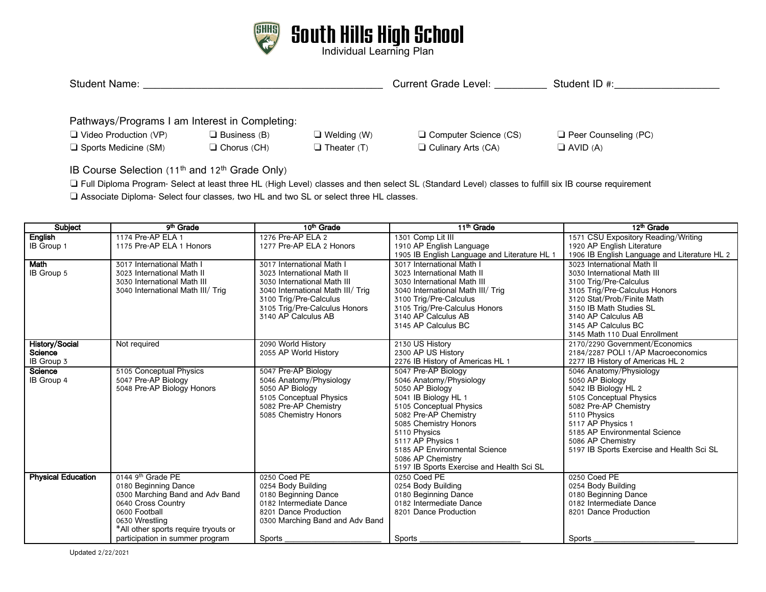

| <b>Student Name:</b>                           |                       |                       | <b>Current Grade Level:</b>  | Student ID #:               |  |  |  |  |
|------------------------------------------------|-----------------------|-----------------------|------------------------------|-----------------------------|--|--|--|--|
| Pathways/Programs I am Interest in Completing: |                       |                       |                              |                             |  |  |  |  |
| $\Box$ Video Production (VP)                   | $\Box$ Business (B)   | $\Box$ Welding (W)    | $\Box$ Computer Science (CS) | $\Box$ Peer Counseling (PC) |  |  |  |  |
| $\Box$ Sports Medicine (SM)                    | $\square$ Chorus (CH) | $\square$ Theater (T) | $\Box$ Culinary Arts (CA)    | $\Box$ AVID (A)             |  |  |  |  |

IB Course Selection (11<sup>th</sup> and 12<sup>th</sup> Grade Only)

❏ Full Diploma Program- Select at least three HL (High Level) classes and then select SL (Standard Level) classes to fulfill six IB course requirement

❏ Associate Diploma- Select four classes, two HL and two SL or select three HL classes.

| <b>Subject</b>                          | 9 <sup>th</sup> Grade                                                                                                                                                                                                        | 10 <sup>th</sup> Grade                                                                                                                                                                                        | 11 <sup>th</sup> Grade                                                                                                                                                                                                                                                                                         | 12 <sup>th</sup> Grade                                                                                                                                                                                                                                         |
|-----------------------------------------|------------------------------------------------------------------------------------------------------------------------------------------------------------------------------------------------------------------------------|---------------------------------------------------------------------------------------------------------------------------------------------------------------------------------------------------------------|----------------------------------------------------------------------------------------------------------------------------------------------------------------------------------------------------------------------------------------------------------------------------------------------------------------|----------------------------------------------------------------------------------------------------------------------------------------------------------------------------------------------------------------------------------------------------------------|
| English<br>IB Group 1                   | 1174 Pre-AP ELA 1<br>1175 Pre-AP ELA 1 Honors                                                                                                                                                                                | 1276 Pre-AP ELA 2<br>1277 Pre-AP ELA 2 Honors                                                                                                                                                                 | 1301 Comp Lit III<br>1910 AP English Language<br>1905 IB English Language and Literature HL 1                                                                                                                                                                                                                  | 1571 CSU Expository Reading/Writing<br>1920 AP English Literature<br>1906 IB English Language and Literature HL 2                                                                                                                                              |
| Math<br>IB Group 5                      | 3017 International Math I<br>3023 International Math II<br>3030 International Math III<br>3040 International Math III/ Trig                                                                                                  | 3017 International Math I<br>3023 International Math II<br>3030 International Math III<br>3040 International Math III/ Trig<br>3100 Trig/Pre-Calculus<br>3105 Trig/Pre-Calculus Honors<br>3140 AP Calculus AB | 3017 International Math I<br>3023 International Math II<br>3030 International Math III<br>3040 International Math III/ Trig<br>3100 Trig/Pre-Calculus<br>3105 Trig/Pre-Calculus Honors<br>3140 AP Calculus AB<br>3145 AP Calculus BC                                                                           | 3023 International Math II<br>3030 International Math III<br>3100 Trig/Pre-Calculus<br>3105 Trig/Pre-Calculus Honors<br>3120 Stat/Prob/Finite Math<br>3150 IB Math Studies SL<br>3140 AP Calculus AB<br>3145 AP Calculus BC<br>3145 Math 110 Dual Enrollment   |
| History/Social<br>Science<br>IB Group 3 | Not required                                                                                                                                                                                                                 | 2090 World History<br>2055 AP World History                                                                                                                                                                   | 2130 US History<br>2300 AP US History<br>2276 IB History of Americas HL 1                                                                                                                                                                                                                                      | 2170/2290 Government/Economics<br>2184/2287 POLI 1/AP Macroeconomics<br>2277 IB History of Americas HL 2                                                                                                                                                       |
| Science<br>IB Group 4                   | 5105 Conceptual Physics<br>5047 Pre-AP Biology<br>5048 Pre-AP Biology Honors                                                                                                                                                 | 5047 Pre-AP Biology<br>5046 Anatomy/Physiology<br>5050 AP Biology<br>5105 Conceptual Physics<br>5082 Pre-AP Chemistry<br>5085 Chemistry Honors                                                                | 5047 Pre-AP Biology<br>5046 Anatomy/Physiology<br>5050 AP Biology<br>5041 IB Biology HL 1<br>5105 Conceptual Physics<br>5082 Pre-AP Chemistry<br>5085 Chemistry Honors<br>5110 Physics<br>5117 AP Physics 1<br>5185 AP Environmental Science<br>5086 AP Chemistry<br>5197 IB Sports Exercise and Health Sci SL | 5046 Anatomy/Physiology<br>5050 AP Biology<br>5042 IB Biology HL 2<br>5105 Conceptual Physics<br>5082 Pre-AP Chemistry<br>5110 Physics<br>5117 AP Physics 1<br>5185 AP Environmental Science<br>5086 AP Chemistry<br>5197 IB Sports Exercise and Health Sci SL |
| <b>Physical Education</b>               | 0144 9 <sup>th</sup> Grade PE<br>0180 Beginning Dance<br>0300 Marching Band and Adv Band<br>0640 Cross Country<br>0600 Football<br>0630 Wrestling<br>*All other sports require tryouts or<br>participation in summer program | 0250 Coed PE<br>0254 Body Building<br>0180 Beginning Dance<br>0182 Intermediate Dance<br>8201 Dance Production<br>0300 Marching Band and Adv Band<br>Sports                                                   | 0250 Coed PE<br>0254 Body Building<br>0180 Beginning Dance<br>0182 Intermediate Dance<br>8201 Dance Production<br>Sports                                                                                                                                                                                       | 0250 Coed PE<br>0254 Body Building<br>0180 Beginning Dance<br>0182 Intermediate Dance<br>8201 Dance Production<br>Sports                                                                                                                                       |

Updated 2/22/2021